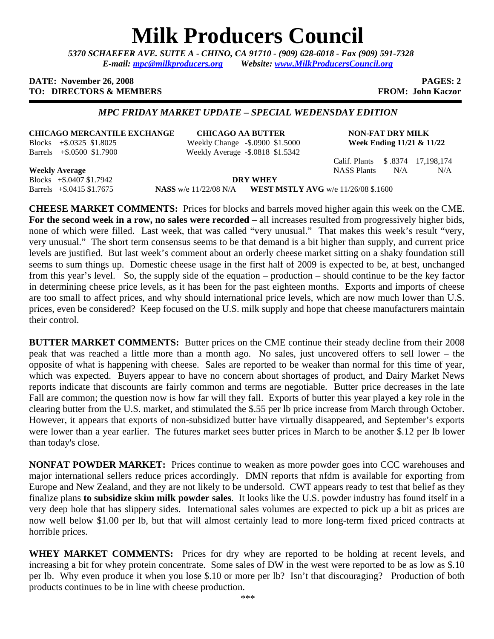# **Milk Producers Council**

*5370 SCHAEFER AVE. SUITE A* **-** *CHINO, CA 91710 - (909) 628-6018 - Fax (909) 591-7328 E-mail: mpc@milkproducers.org Website: www.MilkProducersCouncil.org* 

#### **DATE:** November 26, 2008 **PAGES: 2 PAGES: 2 TO: DIRECTORS & MEMBERS FROM: John Kaczor FROM: John Kaczor**

### *MPC FRIDAY MARKET UPDATE – SPECIAL WEDENSDAY EDITION*

**CHICAGO MERCANTILE EXCHANGE CHICAGO AA BUTTER NON-FAT DRY MILK** Blocks +\$.0325 \$1.8025 Weekly Change -\$.0900 \$1.5000 **Week Ending 11/21 & 11/22**  Barrels +\$.0500 \$1.7900 Weekly Average -\$.0818 \$1.5342

Calif. Plants \$ .8374 17,198,174

**Weekly Average** NASS Plants N/A N/A N/A Blocks +\$.0407 \$1.7942 **DRY WHEY** 

Barrels +\$.0415 \$1.7675 **NASS** w/e 11/22/08 N/A **WEST MSTLY AVG** w/e 11/26/08 \$.1600

**CHEESE MARKET COMMENTS:** Prices for blocks and barrels moved higher again this week on the CME. **For the second week in a row, no sales were recorded** – all increases resulted from progressively higher bids, none of which were filled. Last week, that was called "very unusual." That makes this week's result "very, very unusual." The short term consensus seems to be that demand is a bit higher than supply, and current price levels are justified. But last week's comment about an orderly cheese market sitting on a shaky foundation still seems to sum things up. Domestic cheese usage in the first half of 2009 is expected to be, at best, unchanged from this year's level. So, the supply side of the equation – production – should continue to be the key factor in determining cheese price levels, as it has been for the past eighteen months. Exports and imports of cheese are too small to affect prices, and why should international price levels, which are now much lower than U.S. prices, even be considered? Keep focused on the U.S. milk supply and hope that cheese manufacturers maintain their control.

**BUTTER MARKET COMMENTS:** Butter prices on the CME continue their steady decline from their 2008 peak that was reached a little more than a month ago. No sales, just uncovered offers to sell lower – the opposite of what is happening with cheese. Sales are reported to be weaker than normal for this time of year, which was expected. Buyers appear to have no concern about shortages of product, and Dairy Market News reports indicate that discounts are fairly common and terms are negotiable. Butter price decreases in the late Fall are common; the question now is how far will they fall. Exports of butter this year played a key role in the clearing butter from the U.S. market, and stimulated the \$.55 per lb price increase from March through October. However, it appears that exports of non-subsidized butter have virtually disappeared, and September's exports were lower than a year earlier. The futures market sees butter prices in March to be another \$.12 per lb lower than today's close.

**NONFAT POWDER MARKET:** Prices continue to weaken as more powder goes into CCC warehouses and major international sellers reduce prices accordingly. DMN reports that nfdm is available for exporting from Europe and New Zealand, and they are not likely to be undersold. CWT appears ready to test that belief as they finalize plans **to subsidize skim milk powder sales**. It looks like the U.S. powder industry has found itself in a very deep hole that has slippery sides. International sales volumes are expected to pick up a bit as prices are now well below \$1.00 per lb, but that will almost certainly lead to more long-term fixed priced contracts at horrible prices.

WHEY MARKET COMMENTS: Prices for dry whey are reported to be holding at recent levels, and increasing a bit for whey protein concentrate. Some sales of DW in the west were reported to be as low as \$.10 per lb. Why even produce it when you lose \$.10 or more per lb? Isn't that discouraging? Production of both products continues to be in line with cheese production.